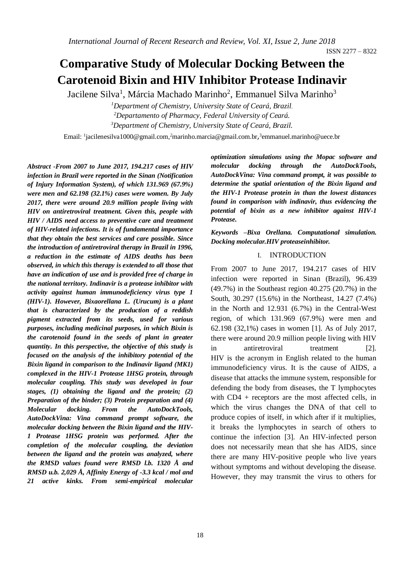# **Comparative Study of Molecular Docking Between the Carotenoid Bixin and HIV Inhibitor Protease Indinavir**

Jacilene Silva<sup>1</sup>, Márcia Machado Marinho<sup>2</sup>, Emmanuel Silva Marinho<sup>3</sup>

*<sup>1</sup>Department of Chemistry, University State of Ceará, Brazil. <sup>2</sup>Departamento of Pharmacy, Federal University of Ceará. <sup>3</sup>Department of Chemistry, University State of Ceará, Brazil.*

Email: <sup>1</sup>[jacilenesilva1000@gmail.com,](mailto:1jacilenesilva1000@gmail.com)<sup>2</sup>[marinho.marcia@gmail.com.br](mailto:2marinho.marcia@gmail.com.br),<sup>3</sup>emmanuel.marinho@uece.br

*Abstract* **-***From 2007 to June 2017, 194.217 cases of HIV infection in Brazil were reported in the Sinan (Notification of Injury Information System), of which 131.969 (67.9%) were men and 62.198 (32.1%) cases were women. By July 2017, there were around 20.9 million people living with HIV on antiretroviral treatment. Given this, people with HIV / AIDS need access to preventive care and treatment of HIV-related infections. It is of fundamental importance that they obtain the best services and care possible. Since the introduction of antiretroviral therapy in Brazil in 1996, a reduction in the estimate of AIDS deaths has been observed, in which this therapy is extended to all those that have an indication of use and is provided free of charge in the national territory. Indinavir is a protease inhibitor with activity against human immunodeficiency virus type 1 (HIV-1). However, Bixaorellana L. (Urucum) is a plant that is characterized by the production of a reddish pigment extracted from its seeds, used for various purposes, including medicinal purposes, in which Bixin is the carotenoid found in the seeds of plant in greater quantity. In this perspective, the objective of this study is focused on the analysis of the inhibitory potential of the Bixin ligand in comparison to the Indinavir ligand (MK1) complexed in the HIV-1 Protease 1HSG protein, through molecular coupling. This study was developed in four stages, (1) obtaining the ligand and the protein; (2) Preparation of the binder; (3) Protein preparation and (4) Molecular docking. From the AutoDockTools, AutoDockVina: Vina command prompt software, the molecular docking between the Bixin ligand and the HIV-1 Protease 1HSG protein was performed. After the completion of the molecular coupling, the deviation between the ligand and the protein was analyzed, where the RMSD values found were RMSD l.b. 1320 Å and RMSD u.b. 2,029 Å, Affinity Energy of -3.3 kcal / mol and 21 active kinks. From semi-empirical molecular* 

*optimization simulations using the Mopac software and molecular docking through the AutoDockTools, AutoDockVina: Vina command prompt, it was possible to determine the spatial orientation of the Bixin ligand and the HIV-1 Protease protein in than the lowest distances found in comparison with indinavir, thus evidencing the potential of bixin as a new inhibitor against HIV-1 Protease.*

*Keywords –Bixa Orellana. Computational simulation. Docking molecular.HIV proteaseinhibitor.*

#### I. INTRODUCTION

From 2007 to June 2017, 194.217 cases of HIV infection were reported in Sinan (Brazil), 96.439 (49.7%) in the Southeast region 40.275 (20.7%) in the South, 30.297 (15.6%) in the Northeast, 14.27 (7.4%) in the North and 12.931 (6.7%) in the Central-West region, of which 131.969 (67.9%) were men and 62.198 (32,1%) cases in women [1]. As of July 2017, there were around 20.9 million people living with HIV in antiretroviral treatment [2]. HIV is the acronym in English related to the human immunodeficiency virus. It is the cause of AIDS, a disease that attacks the immune system, responsible for defending the body from diseases, the T lymphocytes with CD4 + receptors are the most affected cells, in which the virus changes the DNA of that cell to produce copies of itself, in which after if it multiplies, it breaks the lymphocytes in search of others to continue the infection [3]. An HIV-infected person does not necessarily mean that she has AIDS, since there are many HIV-positive people who live years without symptoms and without developing the disease. However, they may transmit the virus to others for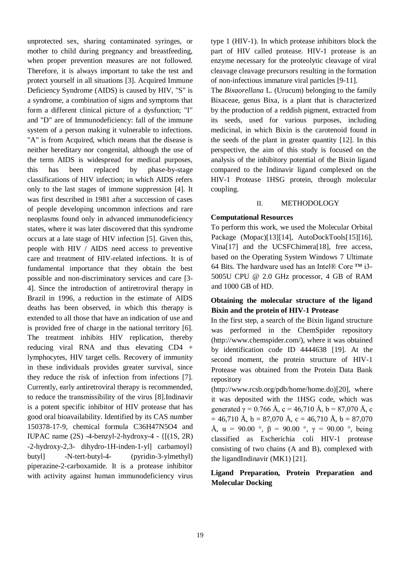unprotected sex, sharing contaminated syringes, or mother to child during pregnancy and breastfeeding, when proper prevention measures are not followed. Therefore, it is always important to take the test and protect yourself in all situations [3]. Acquired Immune Deficiency Syndrome (AIDS) is caused by HIV, "S" is a syndrome, a combination of signs and symptoms that form a different clinical picture of a dysfunction; "I" and "D" are of Immunodeficiency: fall of the immune system of a person making it vulnerable to infections. "A" is from Acquired, which means that the disease is neither hereditary nor congenital, although the use of the term AIDS is widespread for medical purposes, this has been replaced by phase-by-stage classifications of HIV infection; in which AIDS refers only to the last stages of immune suppression [4]. It was first described in 1981 after a succession of cases of people developing uncommon infections and rare neoplasms found only in advanced immunodeficiency states, where it was later discovered that this syndrome occurs at a late stage of HIV infection [5]. Given this, people with HIV / AIDS need access to preventive care and treatment of HIV-related infections. It is of fundamental importance that they obtain the best possible and non-discriminatory services and care [3- 4]. Since the introduction of antiretroviral therapy in Brazil in 1996, a reduction in the estimate of AIDS deaths has been observed, in which this therapy is extended to all those that have an indication of use and is provided free of charge in the national territory [6]. The treatment inhibits HIV replication, thereby reducing viral RNA and thus elevating CD4 + lymphocytes, HIV target cells. Recovery of immunity in these individuals provides greater survival, since they reduce the risk of infection from infections [7]. Currently, early antiretroviral therapy is recommended, to reduce the transmissibility of the virus [8].Indinavir is a potent specific inhibitor of HIV protease that has good oral bioavailability. Identified by its CAS number 150378-17-9, chemical formula C36H47N5O4 and IUPAC name  $(2S)$  -4-benzyl-2-hydroxy-4 -  $\{[(1S, 2R)$ -2-hydroxy-2,3- dihydro-1H-inden-1-yl] carbamoyl} butyl] -N-tert-butyl-4- (pyridin-3-ylmethyl) piperazine-2-carboxamide. It is a protease inhibitor with activity against human immunodeficiency virus

type 1 (HIV-1). In which protease inhibitors block the part of HIV called protease. HIV-1 protease is an enzyme necessary for the proteolytic cleavage of viral cleavage cleavage precursors resulting in the formation of non-infectious immature viral particles [9-11].

The *Bixaorellana* L. (Urucum) belonging to the family Bixaceae, genus Bixa, is a plant that is characterized by the production of a reddish pigment, extracted from its seeds, used for various purposes, including medicinal, in which Bixin is the carotenoid found in the seeds of the plant in greater quantity [12]. In this perspective, the aim of this study is focused on the analysis of the inhibitory potential of the Bixin ligand compared to the Indinavir ligand complexed on the HIV-1 Protease 1HSG protein, through molecular coupling.

## II. METHODOLOGY

## **Computational Resources**

To perform this work, we used the Molecular Orbital Package (Mopac)[13][14], AutoDockTools[15][16], Vina[17] and the UCSFChimera[18], free access, based on the Operating System Windows 7 Ultimate 64 Bits. The hardware used has an Intel® Core ™ i3- 5005U CPU @ 2.0 GHz processor, 4 GB of RAM and 1000 GB of HD.

## **Obtaining the molecular structure of the ligand Bixin and the protein of HIV-1 Protease**

In the first step, a search of the Bixin ligand structure was performed in the ChemSpider repository (http://www.chemspider.com/), where it was obtained by identification code ID 4444638 [19]. At the second moment, the protein structure of HIV-1 Protease was obtained from the Protein Data Bank repository

(http://www.rcsb.org/pdb/home/home.do)[20], where it was deposited with the 1HSG code, which was generated  $\gamma = 0.766$  Å, c = 46,710 Å, b = 87,070 Å, c  $= 46,710 \text{ Å}, b = 87,070 \text{ Å}, c = 46,710 \text{ Å}, b = 87,070$ Å,  $\alpha = 90.00$  °,  $\beta = 90.00$  °,  $\gamma = 90.00$  °, being classified as Escherichia coli HIV-1 protease consisting of two chains (A and B), complexed with the ligandIndinavir (MK1) [21].

# **Ligand Preparation, Protein Preparation and Molecular Docking**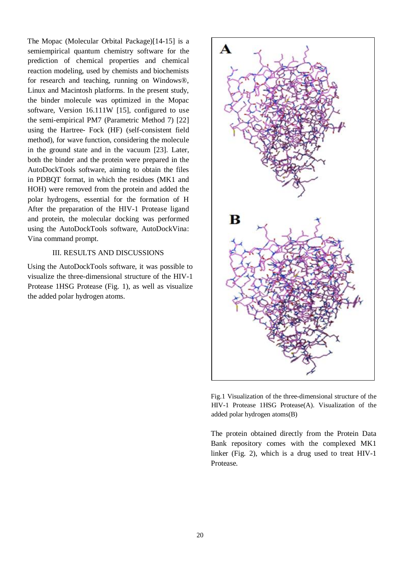The Mopac (Molecular Orbital Package)[14-15] is a semiempirical quantum chemistry software for the prediction of chemical properties and chemical reaction modeling, used by chemists and biochemists for research and teaching, running on Windows®, Linux and Macintosh platforms. In the present study, the binder molecule was optimized in the Mopac software, Version 16.111W [15], configured to use the semi-empirical PM7 (Parametric Method 7) [22] using the Hartree- Fock (HF) (self-consistent field method), for wave function, considering the molecule in the ground state and in the vacuum [23]. Later, both the binder and the protein were prepared in the AutoDockTools software, aiming to obtain the files in PDBQT format, in which the residues (MK1 and HOH) were removed from the protein and added the polar hydrogens, essential for the formation of H After the preparation of the HIV-1 Protease ligand and protein, the molecular docking was performed using the AutoDockTools software, AutoDockVina: Vina command prompt.

### III. RESULTS AND DISCUSSIONS

Using the AutoDockTools software, it was possible to visualize the three-dimensional structure of the HIV-1 Protease 1HSG Protease (Fig. 1), as well as visualize the added polar hydrogen atoms.



Fig.1 Visualization of the three-dimensional structure of the HIV-1 Protease 1HSG Protease(A). Visualization of the added polar hydrogen atoms(B)

The protein obtained directly from the Protein Data Bank repository comes with the complexed MK1 linker (Fig. 2), which is a drug used to treat HIV-1 Protease.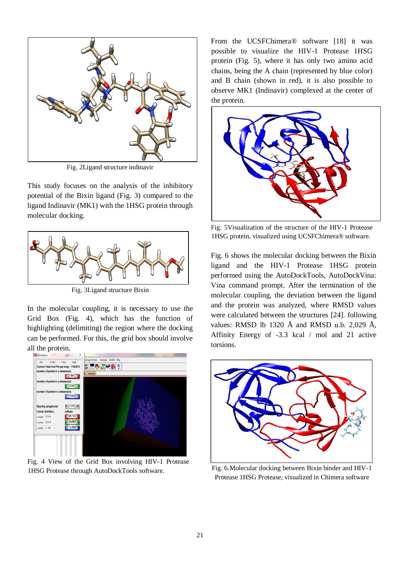

Fig. 2Ligand structure indinavir

This study focuses on the analysis of the inhibitory potential of the Bixin ligand (Fig. 3) compared to the ligand Indinavir (MK1) with the 1HSG protein through molecular docking.



Fig. 3Ligand structure Bixin

In the molecular coupling, it is necessary to use the Grid Box (Fig. 4), which has the function of highlighting (delimiting) the region where the docking can be performed. For this, the grid box should involve all the protein.



Fig. 4 View of the Grid Box involving HIV-1 Protease 1HSG Protease through AutoDockTools software.

From the UCSFChimera<sup>®</sup> software [18] it was possible to visualize the HIV-1 Protease 1HSG protein (Fig. 5), where it has only two amino acid chains, being the A chain (represented by blue color) and B chain (shown in red), it is also possible to observe MK1 (Indinavir) complexed at the center of the protein.



Fig. 5Visualization of the structure of the HIV-1 Protease 1HSG protein, visualized using UCSFChimera® software.

Fig. 6 shows the molecular docking between the Bixin ligand and the HIV-1 Protease 1HSG protein performed using the AutoDockTools, AutoDockVina: Vina command prompt. After the termination of the molecular coupling, the deviation between the ligand and the protein was analyzed, where RMSD values were calculated between the structures [24]. following values: RMSD lb 1320 Å and RMSD u.b. 2,029 Å, Affinity Energy of -3.3 kcal / mol and 21 active torsions.



Fig. 6.Molecular docking between Bixin binder and HIV-1 Protease 1HSG Protease, visualized in Chimera software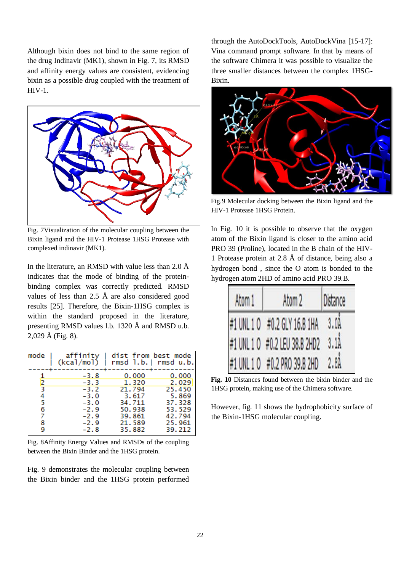Although bixin does not bind to the same region of the drug Indinavir (MK1), shown in Fig. 7, its RMSD and affinity energy values are consistent, evidencing bixin as a possible drug coupled with the treatment of HIV-1.



Fig. 7Visualization of the molecular coupling between the Bixin ligand and the HIV-1 Protease 1HSG Protease with complexed indinavir (MK1).

In the literature, an RMSD with value less than 2.0  $\AA$ indicates that the mode of binding of the proteinbinding complex was correctly predicted. RMSD values of less than 2.5 Å are also considered good results [25]. Therefore, the Bixin-1HSG complex is within the standard proposed in the literature, presenting RMSD values l.b. 1320 Å and RMSD u.b.  $2,029 \text{ Å}$  (Fig. 8).

| mode | affinity<br>(kcal/mol) | dist from best mode<br>rmsd 1.b.  rmsd u.b. |        |
|------|------------------------|---------------------------------------------|--------|
| 2    | $-3.8$                 | 0.000                                       | 0.000  |
|      | -3.3                   | 1.320                                       | 2.029  |
| 3    | $-3.2$                 | 21.794                                      | 25.450 |
| 4    | $-3.0$                 | 3.617                                       | 5.869  |
| 5    | $-3.0$                 | 34.711                                      | 37.328 |
| 6    | $-2.9$                 | 50.938                                      | 53.529 |
| 7    | $-2.9$                 | 39.861                                      | 42.794 |
| g    | $-2.9$                 | 21,589                                      | 25.961 |
|      | $-2.8$                 | 35.882                                      | 39.212 |

Fig. 8Affinity Energy Values and RMSDs of the coupling between the Bixin Binder and the 1HSG protein.

Fig. 9 demonstrates the molecular coupling between the Bixin binder and the 1HSG protein performed through the AutoDockTools, AutoDockVina [15-17]: Vina command prompt software. In that by means of the software Chimera it was possible to visualize the three smaller distances between the complex 1HSG-Bixin.



Fig.9 Molecular docking between the Bixin ligand and the HIV-1 Protease 1HSG Protein.

In Fig. 10 it is possible to observe that the oxygen atom of the Bixin ligand is closer to the amino acid PRO 39 (Proline), located in the B chain of the HIV-1 Protease protein at 2.8 Å of distance, being also a hydrogen bond , since the O atom is bonded to the hydrogen atom 2HD of amino acid PRO 39.B.

| Atom 1 | Atom <sub>2</sub>                 | Distance         |
|--------|-----------------------------------|------------------|
|        | #1 UNL 1 0 #0.2 GLY 16.B 1HA 3.0A |                  |
|        | #1 UNL 1 0 #0.2 LEU 38.B 2HD2     | 3.11             |
|        | #1 UNL 1 0 #0.2 PRO 39.8 2HD      | 2.8 <sub>A</sub> |

**Fig. 10** Distances found between the bixin binder and the 1HSG protein, making use of the Chimera software.

However, fig. 11 shows the hydrophobicity surface of the Bixin-1HSG molecular coupling.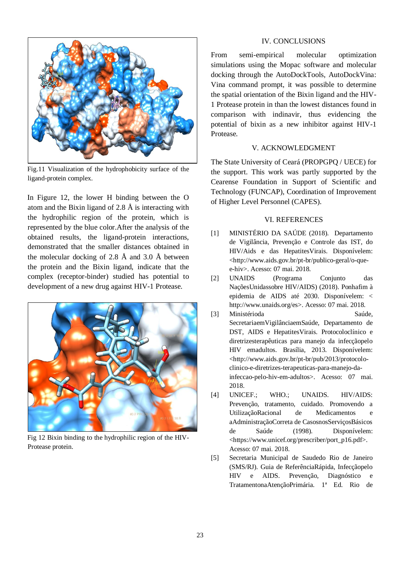

Fig.11 Visualization of the hydrophobicity surface of the ligand-protein complex.

In Figure 12, the lower H binding between the O atom and the Bixin ligand of 2.8 Å is interacting with the hydrophilic region of the protein, which is represented by the blue color.After the analysis of the obtained results, the ligand-protein interactions, demonstrated that the smaller distances obtained in the molecular docking of 2.8 Å and 3.0 Å between the protein and the Bixin ligand, indicate that the complex (receptor-binder) studied has potential to development of a new drug against HIV-1 Protease.



Fig 12 Bixin binding to the hydrophilic region of the HIV-Protease protein.

## IV. CONCLUSIONS

From semi-empirical molecular optimization simulations using the Mopac software and molecular docking through the AutoDockTools, AutoDockVina: Vina command prompt, it was possible to determine the spatial orientation of the Bixin ligand and the HIV-1 Protease protein in than the lowest distances found in comparison with indinavir, thus evidencing the potential of bixin as a new inhibitor against HIV-1 Protease.

## V. ACKNOWLEDGMENT

The State University of Ceará (PROPGPQ / UECE) for the support. This work was partly supported by the Cearense Foundation in Support of Scientific and Technology (FUNCAP), Coordination of Improvement of Higher Level Personnel (CAPES).

#### VI. REFERENCES

- [1] MINISTÉRIO DA SAÚDE (2018). Departamento de Vigilância, Prevenção e Controle das IST, do HIV/Aids e das HepatitesVirais. Disponívelem: <http://www.aids.gov.br/pt-br/publico-geral/o-quee-hiv>. Acesso: 07 mai. 2018.
- [2] UNAIDS (Programa Conjunto das NaçõesUnidassobre HIV/AIDS) (2018). Ponhafim à epidemia de AIDS até 2030. Disponívelem: < http://www.unaids.org/es>. Acesso: 07 mai. 2018.
- [3] Ministérioda Saúde, SecretariaemVigilânciaemSaúde, Departamento de DST, AIDS e HepatitesVirais. Protocoloclínico e diretrizesterapêuticas para manejo da infecçãopelo HIV emadultos. Brasília, 2013. Disponívelem: <http://www.aids.gov.br/pt-br/pub/2013/protocoloclinico-e-diretrizes-terapeuticas-para-manejo-dainfeccao-pelo-hiv-em-adultos>. Acesso: 07 mai. 2018.
- [4] UNICEF.; WHO.; UNAIDS. HIV/AIDS: Prevenção, tratamento, cuidado. Promovendo a UtilizaçãoRacional de Medicamentos e aAdministraçãoCorreta de CasosnosServiçosBásicos de Saúde (1998). Disponívelem: <https://www.unicef.org/prescriber/port\_p16.pdf>. Acesso: 07 mai. 2018.
- [5] Secretaria Municipal de Saudedo Rio de Janeiro (SMS/RJ). Guia de ReferênciaRápida, Infecçãopelo HIV e AIDS. Prevenção, Diagnóstico e TratamentonaAtençãoPrimária. 1ª Ed. Rio de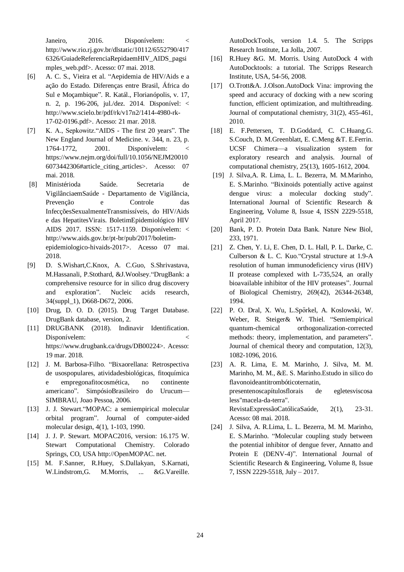Janeiro, 2016. Disponívelem: < http://www.rio.rj.gov.br/dlstatic/10112/6552790/417 6326/GuiadeReferenciaRepidaemHIV\_AIDS\_pagsi mples\_web.pdf>. Acesso: 07 mai. 2018.

- [6] A. C. S., Vieira et al. "Aepidemia de HIV/Aids e a ação do Estado. Diferenças entre Brasil, África do Sul e Moçambique". R. Katál., Florianópolis, v. 17, n. 2, p. 196-206, jul./dez. 2014. Disponível: < http://www.scielo.br/pdf/rk/v17n2/1414-4980-rk-17-02-0196.pdf>. Acesso: 21 mar. 2018.
- [7] K. A., Sepkowitz."AIDS The first 20 years". The New England Journal of Medicine. v. 344, n. 23, p. 1764-1772, 2001. Disponívelem: < https://www.nejm.org/doi/full/10.1056/NEJM20010 6073442306#article\_citing\_articles>. Acesso: 07 mai. 2018.
- [8] Ministérioda Saúde. Secretaria de VigilânciaemSaúde - Departamento de Vigilância, Prevenção e Controle das InfecçõesSexualmenteTransmissíveis, do HIV/Aids e das HepatitesVirais. BoletimEpidemiológico HIV AIDS 2017. ISSN: 1517-1159. Disponívelem: < http://www.aids.gov.br/pt-br/pub/2017/boletimepidemiologico-hivaids-2017>. Acesso 07 mai. 2018.
- [9] D. S.Wishart,C.Knox, A. C.Guo, S.Shrivastava, M.Hassanali, P.Stothard, &J.Woolsey."DrugBank: a comprehensive resource for in silico drug discovery and exploration". Nucleic acids research, 34(suppl\_1), D668-D672, 2006.
- [10] Drug, D. O. D. (2015). Drug Target Database. DrugBank database, version, 2.
- [11] DRUGBANK (2018). Indinavir Identification. Disponívelem: < https://www.drugbank.ca/drugs/DB00224>. Acesso: 19 mar. 2018.
- [12] J. M. Barbosa-Filho. "Bixaorellana: Retrospectiva de usospopulares, atividadesbiológicas, fitoquímica e empregonafitocosmética, no continente americano". SimpósioBrasileiro do Urucum— SIMBRAU, Joao Pessoa, 2006.
- [13] J. J. Stewart."MOPAC: a semiempirical molecular orbital program". Journal of computer-aided molecular design, 4(1), 1-103, 1990.
- [14] J. J. P. Stewart. MOPAC2016, version: 16.175 W. Stewart Computational Chemistry. Colorado Springs, CO, USA http://OpenMOPAC. net.
- [15] M. F.Sanner, R.Huey, S.Dallakyan, S.Karnati, W.Lindstrom, G. M.Morris, ... & G.Vareille.

AutoDockTools, version 1.4. 5. The Scripps Research Institute, La Jolla, 2007.

- [16] R.Huey &G. M. Morris. Using AutoDock 4 with AutoDocktools: a tutorial. The Scripps Research Institute, USA, 54-56, 2008.
- [17] O.Trott&A. J.Olson.AutoDock Vina: improving the speed and accuracy of docking with a new scoring function, efficient optimization, and multithreading. Journal of computational chemistry, 31(2), 455-461, 2010.
- [18] E. F.Pettersen, T. D.Goddard, C. C.Huang,G. S.Couch, D. M.Greenblatt, E. C.Meng &T. E.Ferrin. UCSF Chimera—a visualization system for exploratory research and analysis. Journal of computational chemistry, 25(13), 1605-1612, 2004.
- [19] J. Silva,A. R. Lima, L. L. Bezerra, M. M.Marinho, E. S.Marinho. "Bixinoids potentially active against dengue virus: a molecular docking study". International Journal of Scientific Research & Engineering, Volume 8, Issue 4, ISSN 2229-5518, April 2017.
- [20] Bank, P. D. Protein Data Bank. Nature New Biol, 233, 1971.
- [21] Z. Chen, Y. Li, E. Chen, D. L. Hall, P. L. Darke, C. Culberson & L. C. Kuo."Crystal structure at 1.9-A resolution of human immunodeficiency virus (HIV) II protease complexed with L-735,524, an orally bioavailable inhibitor of the HIV proteases". Journal of Biological Chemistry, 269(42), 26344-26348, 1994.
- [22] P. O. Dral, X. Wu, L.Spörkel, A. Koslowski, W. Weber, R. Steiger& W. Thiel. "Semiempirical quantum-chemical orthogonalization-corrected methods: theory, implementation, and parameters". Journal of chemical theory and computation, 12(3), 1082-1096, 2016.
- [23] A. R. Lima, E. M. Marinho, J. Silva, M. M. Marinho, M. M., &E. S. Marinho.Estudo in silico do flavonoideantitrombóticoternatin, presentenoscapítulosflorais de egletesviscosa less"macela-da-terra". RevistaExpressãoCatólicaSaúde, 2(1), 23-31. Acesso: 08 mai. 2018.
- [24] J. Silva, A. R.Lima, L. L. Bezerra, M. M. Marinho, E. S.Marinho. "Molecular coupling study between the potential inhibitor of dengue fever, Annatto and Protein E (DENV-4)". International Journal of Scientific Research & Engineering, Volume 8, Issue 7, ISSN 2229-5518, July – 2017.